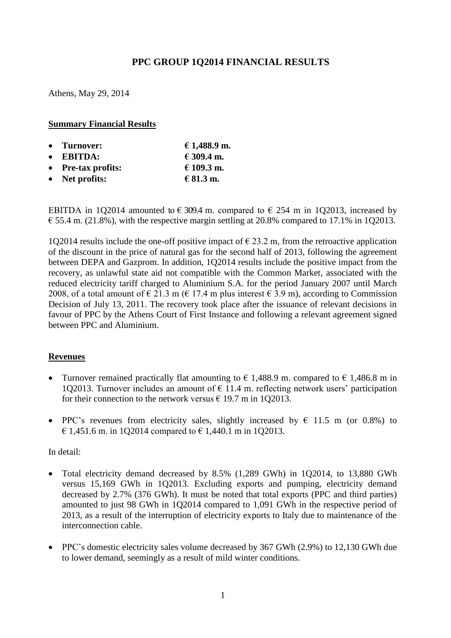# **PPC GROUP 1Q2014 FINANCIAL RESULTS**

Athens, May 29, 2014

### **Summary Financial Results**

| • Turnover:            | € 1,488.9 m. |
|------------------------|--------------|
| $\bullet$ EBITDA:      | € 309.4 m.   |
| • Pre-tax profits:     | € 109.3 m.   |
| $\bullet$ Net profits: | € 81.3 m.    |

ΕΒΙΤDΑ in 1Q2014 amounted to € 309.4 m. compared to € 254 m in 1Q2013, increased by  $\epsilon$  55.4 m. (21.8%), with the respective margin settling at 20.8% compared to 17.1% in 1Q2013.

1Q2014 results include the one-off positive impact of  $\epsilon$  23.2 m, from the retroactive application of the discount in the price of natural gas for the second half of 2013, following the agreement between DEPA and Gazprom. In addition, 1Q2014 results include the positive impact from the recovery, as unlawful state aid not compatible with the Common Market, associated with the reduced electricity tariff charged to Aluminium S.A. for the period January 2007 until March 2008, of a total amount of  $\epsilon$  21.3 m ( $\epsilon$  17.4 m plus interest  $\epsilon$  3.9 m), according to Commission Decision of July 13, 2011. The recovery took place after the issuance of relevant decisions in favour of PPC by the Athens Court of First Instance and following a relevant agreement signed between PPC and Aluminium.

#### **Revenues**

- Turnover remained practically flat amounting to  $\epsilon$  1,488.9 m. compared to  $\epsilon$  1,486.8 m in 1O2013. Turnover includes an amount of  $\epsilon$  11.4 m. reflecting network users' participation for their connection to the network versus  $\epsilon$  19.7 m in 1Q2013.
- PPC's revenues from electricity sales, slightly increased by  $\epsilon$  11.5 m (or 0.8%) to € 1,451.6 m. in 1Q2014 compared to  $€$  1,440.1 m in 1Q2013.

#### In detail:

- Total electricity demand decreased by 8.5% (1,289 GWh) in 1Q2014, to 13,880 GWh versus 15,169 GWh in 1Q2013. Excluding exports and pumping, electricity demand decreased by 2.7% (376 GWh). It must be noted that total exports (PPC and third parties) amounted to just 98 GWh in 1Q2014 compared to 1,091 GWh in the respective period of 2013, as a result of the interruption of electricity exports to Italy due to maintenance of the interconnection cable.
- PPC's domestic electricity sales volume decreased by 367 GWh (2.9%) to 12,130 GWh due to lower demand, seemingly as a result of mild winter conditions.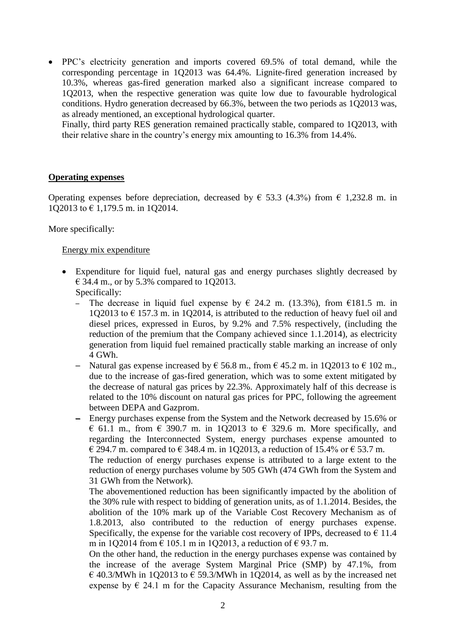PPC's electricity generation and imports covered 69.5% of total demand, while the corresponding percentage in 1Q2013 was 64.4%. Lignite-fired generation increased by 10.3%, whereas gas-fired generation marked also a significant increase compared to 1Q2013, when the respective generation was quite low due to favourable hydrological conditions. Hydro generation decreased by 66.3%, between the two periods as 1Q2013 was, as already mentioned, an exceptional hydrological quarter.

Finally, third party RES generation remained practically stable, compared to 1Q2013, with their relative share in the country's energy mix amounting to 16.3% from 14.4%.

#### **Operating expenses**

Operating expenses before depreciation, decreased by  $\epsilon$  53.3 (4.3%) from  $\epsilon$  1,232.8 m. in 1Q2013 to € 1,179.5 m. in 1Q2014.

## More specifically:

## Energy mix expenditure

- Expenditure for liquid fuel, natural gas and energy purchases slightly decreased by  $\epsilon$  34.4 m., or by 5.3% compared to 1Q2013. Specifically:
	- The decrease in liquid fuel expense by  $\epsilon$  24.2 m. (13.3%), from  $\epsilon$ 181.5 m. in 1O2013 to  $\epsilon$  157.3 m. in 1O2014, is attributed to the reduction of heavy fuel oil and diesel prices, expressed in Euros, by 9.2% and 7.5% respectively, (including the reduction of the premium that the Company achieved since 1.1.2014), as electricity generation from liquid fuel remained practically stable marking an increase of only 4 GWh.
	- Natural gas expense increased by  $\epsilon$  56.8 m., from  $\epsilon$  45.2 m. in 1Q2013 to  $\epsilon$  102 m., due to the increase of gas-fired generation, which was to some extent mitigated by the decrease of natural gas prices by 22.3%. Approximately half of this decrease is related to the 10% discount on natural gas prices for PPC, following the agreement between DEPA and Gazprom.
	- ─ Energy purchases expense from the System and the Network decreased by 15.6% or  $\epsilon$  61.1 m., from  $\epsilon$  390.7 m. in 102013 to  $\epsilon$  329.6 m. More specifically, and regarding the Interconnected System, energy purchases expense amounted to  $\in$  294.7 m. compared to  $\in$  348.4 m. in 1Q2013, a reduction of 15.4% or  $\in$  53.7 m.

The reduction of energy purchases expense is attributed to a large extent to the reduction of energy purchases volume by 505 GWh (474 GWh from the System and 31 GWh from the Network).

The abovementioned reduction has been significantly impacted by the abolition of the 30% rule with respect to bidding of generation units, as of 1.1.2014. Besides, the abolition of the 10% mark up of the Variable Cost Recovery Mechanism as of 1.8.2013, also contributed to the reduction of energy purchases expense. Specifically, the expense for the variable cost recovery of IPPs, decreased to  $\epsilon$  11.4 m in 1Q2014 from € 105.1 m in 1Q2013, a reduction of  $€ 93.7$  m.

On the other hand, the reduction in the energy purchases expense was contained by the increase of the average System Marginal Price (SMP) by 47.1%, from € 40.3/MWh in 1Q2013 to € 59.3/MWh in 1Q2014, as well as by the increased net expense by  $\epsilon$  24.1 m for the Capacity Assurance Mechanism, resulting from the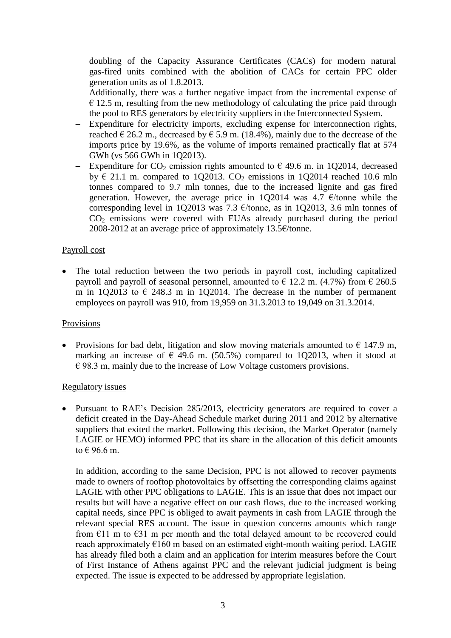doubling of the Capacity Assurance Certificates (CACs) for modern natural gas-fired units combined with the abolition of CACs for certain PPC older generation units as of 1.8.2013.

Additionally, there was a further negative impact from the incremental expense of  $\epsilon$  12.5 m, resulting from the new methodology of calculating the price paid through the pool to RES generators by electricity suppliers in the Interconnected System.

- ─ Expenditure for electricity imports, excluding expense for interconnection rights, reached  $\in$  26.2 m., decreased by  $\in$  5.9 m. (18.4%), mainly due to the decrease of the imports price by 19.6%, as the volume of imports remained practically flat at 574 GWh (vs 566 GWh in 1Q2013).
- Expenditure for  $CO_2$  emission rights amounted to  $\epsilon$  49.6 m. in 1Q2014, decreased by  $\epsilon$  21.1 m. compared to 1Q2013. CO<sub>2</sub> emissions in 1Q2014 reached 10.6 mln tonnes compared to 9.7 mln tonnes, due to the increased lignite and gas fired generation. However, the average price in 1Q2014 was 4.7  $\epsilon$ /tonne while the corresponding level in 1Q2013 was 7.3  $\epsilon$ /tonne, as in 1Q2013, 3.6 mln tonnes of CO<sup>2</sup> emissions were covered with EUAs already purchased during the period 2008-2012 at an average price of approximately 13.5€/tonne.

## Payroll cost

 The total reduction between the two periods in payroll cost, including capitalized payroll and payroll of seasonal personnel, amounted to  $\epsilon$  12.2 m. (4.7%) from  $\epsilon$  260.5 m in 1Q2013 to  $\epsilon$  248.3 m in 1Q2014. The decrease in the number of permanent employees on payroll was 910, from 19,959 on 31.3.2013 to 19,049 on 31.3.2014.

#### Provisions

• Provisions for bad debt, litigation and slow moving materials amounted to  $\epsilon$  147.9 m, marking an increase of  $\epsilon$  49.6 m. (50.5%) compared to 1Q2013, when it stood at  $\epsilon$  98.3 m, mainly due to the increase of Low Voltage customers provisions.

#### Regulatory issues

 Pursuant to RAE's Decision 285/2013, electricity generators are required to cover a deficit created in the Day-Ahead Schedule market during 2011 and 2012 by alternative suppliers that exited the market. Following this decision, the Market Operator (namely LAGIE or HEMO) informed PPC that its share in the allocation of this deficit amounts to € 96.6 m.

In addition, according to the same Decision, PPC is not allowed to recover payments made to owners of rooftop photovoltaics by offsetting the corresponding claims against LAGIE with other PPC obligations to LAGIE. This is an issue that does not impact our results but will have a negative effect on our cash flows, due to the increased working capital needs, since PPC is obliged to await payments in cash from LAGIE through the relevant special RES account. The issue in question concerns amounts which range from  $E11$  m to  $E31$  m per month and the total delayed amount to be recovered could reach approximately  $\epsilon$ 160 m based on an estimated eight-month waiting period. LAGIE has already filed both a claim and an application for interim measures before the Court of First Instance of Athens against PPC and the relevant judicial judgment is being expected. The issue is expected to be addressed by appropriate legislation.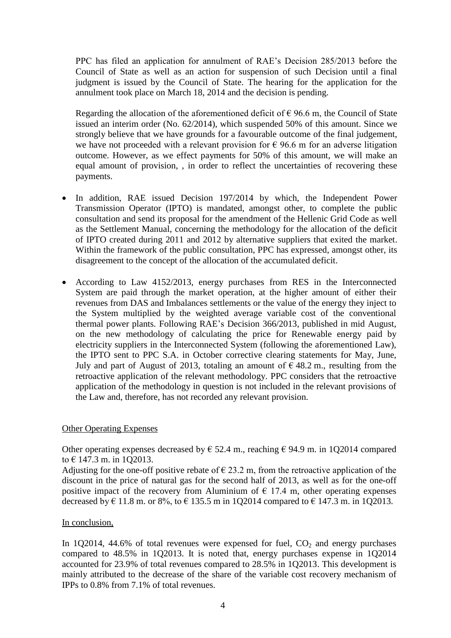PPC has filed an application for annulment of RAE's Decision 285/2013 before the Council of State as well as an action for suspension of such Decision until a final judgment is issued by the Council of State. The hearing for the application for the annulment took place on March 18, 2014 and the decision is pending.

Regarding the allocation of the aforementioned deficit of  $\epsilon$  96.6 m, the Council of State issued an interim order (No. 62/2014), which suspended 50% of this amount. Since we strongly believe that we have grounds for a favourable outcome of the final judgement, we have not proceeded with a relevant provision for  $\epsilon$  96.6 m for an adverse litigation outcome. However, as we effect payments for 50% of this amount, we will make an equal amount of provision, , in order to reflect the uncertainties of recovering these payments.

- In addition, RAE issued Decision 197/2014 by which, the Independent Power Transmission Operator (IPTO) is mandated, amongst other, to complete the public consultation and send its proposal for the amendment of the Hellenic Grid Code as well as the Settlement Manual, concerning the methodology for the allocation of the deficit of IPTO created during 2011 and 2012 by alternative suppliers that exited the market. Within the framework of the public consultation, PPC has expressed, amongst other, its disagreement to the concept of the allocation of the accumulated deficit.
- According to Law 4152/2013, energy purchases from RES in the Interconnected System are paid through the market operation, at the higher amount of either their revenues from DAS and Imbalances settlements or the value of the energy they inject to the System multiplied by the weighted average variable cost of the conventional thermal power plants. Following RAE's Decision 366/2013, published in mid August, on the new methodology of calculating the price for Renewable energy paid by electricity suppliers in the Interconnected System (following the aforementioned Law), the IPTO sent to PPC S.A. in October corrective clearing statements for May, June, July and part of August of 2013, totaling an amount of  $\epsilon$  48.2 m, resulting from the retroactive application of the relevant methodology. PPC considers that the retroactive application of the methodology in question is not included in the relevant provisions of the Law and, therefore, has not recorded any relevant provision.

#### Other Operating Expenses

Other operating expenses decreased by  $\epsilon$  52.4 m., reaching  $\epsilon$  94.9 m. in 1Q2014 compared to € 147.3 m. in 1Q2013.

Adjusting for the one-off positive rebate of  $\epsilon$  23.2 m, from the retroactive application of the discount in the price of natural gas for the second half of 2013, as well as for the one-off positive impact of the recovery from Aluminium of  $\epsilon$  17.4 m, other operating expenses decreased by € 11.8 m. or 8%, to € 135.5 m in 1Q2014 compared to € 147.3 m. in 1Q2013.

#### In conclusion,

In 1Q2014, 44.6% of total revenues were expensed for fuel,  $CO<sub>2</sub>$  and energy purchases compared to 48.5% in 1Q2013. It is noted that, energy purchases expense in 1Q2014 accounted for 23.9% of total revenues compared to 28.5% in 1Q2013. This development is mainly attributed to the decrease of the share of the variable cost recovery mechanism of IPPs to 0.8% from 7.1% of total revenues.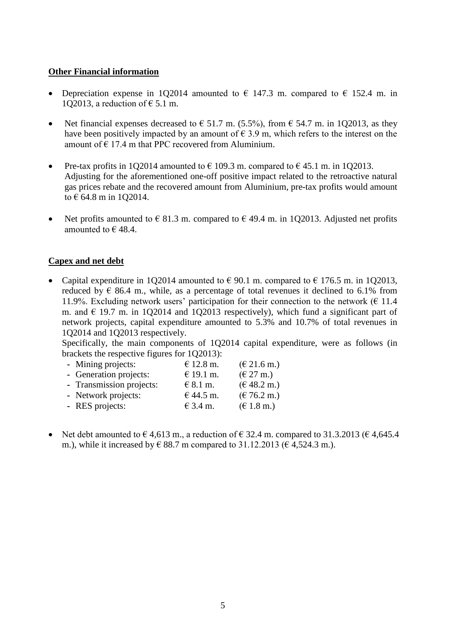### **Other Financial information**

- Depreciation expense in 1Q2014 amounted to  $\epsilon$  147.3 m. compared to  $\epsilon$  152.4 m. in 1O2013, a reduction of  $\epsilon$  5.1 m.
- Net financial expenses decreased to  $\epsilon$  51.7 m. (5.5%), from  $\epsilon$  54.7 m. in 1Q2013, as they have been positively impacted by an amount of  $\epsilon$  3.9 m, which refers to the interest on the amount of  $\epsilon$  17.4 m that PPC recovered from Aluminium.
- Pre-tax profits in 1O2014 amounted to  $\epsilon$  109.3 m. compared to  $\epsilon$  45.1 m. in 1O2013. Adjusting for the aforementioned one-off positive impact related to the retroactive natural gas prices rebate and the recovered amount from Aluminium, pre-tax profits would amount to € 64.8 m in 1Q2014.
- Net profits amounted to  $\epsilon$  81.3 m. compared to  $\epsilon$  49.4 m. in 1Q2013. Adjusted net profits amounted to  $\in$  48.4.

## **Capex and net debt**

• Capital expenditure in 1Q2014 amounted to  $\epsilon$  90.1 m. compared to  $\epsilon$  176.5 m. in 1Q2013, reduced by  $\epsilon$  86.4 m., while, as a percentage of total revenues it declined to 6.1% from 11.9%. Excluding network users' participation for their connection to the network ( $\epsilon$  11.4 m. and  $\in$  19.7 m. in 1Q2014 and 1Q2013 respectively), which fund a significant part of network projects, capital expenditure amounted to 5.3% and 10.7% of total revenues in 1Q2014 and 1Q2013 respectively.

Specifically, the main components of 1Q2014 capital expenditure, were as follows (in brackets the respective figures for 1Q2013):

| - Mining projects:       | $€ 12.8$ m.  | $(\text{€ }21.6 \text{ m.})$ |
|--------------------------|--------------|------------------------------|
| - Generation projects:   | € 19.1 m.    | $(\text{€ } 27 \text{ m.})$  |
| - Transmission projects: | $\in$ 8.1 m. | (648.2 m.)                   |
| - Network projects:      | € 44.5 m.    | (E 76.2 m.)                  |
| - RES projects:          | € 3.4 m.     | $(\text{€ } 1.8 \text{ m.})$ |
|                          |              |                              |

Net debt amounted to  $\epsilon$  4,613 m., a reduction of  $\epsilon$  32.4 m. compared to 31.3.2013 ( $\epsilon$  4,645.4 m.), while it increased by € 88.7 m compared to 31.12.2013 (€ 4.524.3 m.).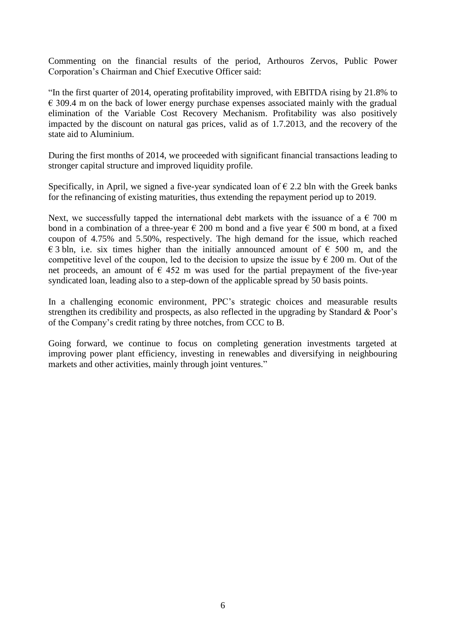Commenting on the financial results of the period, Arthouros Zervos, Public Power Corporation's Chairman and Chief Executive Officer said:

"In the first quarter of 2014, operating profitability improved, with EBITDA rising by 21.8% to  $\epsilon$  309.4 m on the back of lower energy purchase expenses associated mainly with the gradual elimination of the Variable Cost Recovery Mechanism. Profitability was also positively impacted by the discount on natural gas prices, valid as of 1.7.2013, and the recovery of the state aid to Aluminium.

During the first months of 2014, we proceeded with significant financial transactions leading to stronger capital structure and improved liquidity profile.

Specifically, in April, we signed a five-year syndicated loan of  $\epsilon$  2.2 bln with the Greek banks for the refinancing of existing maturities, thus extending the repayment period up to 2019.

Next, we successfully tapped the international debt markets with the issuance of a  $\epsilon$  700 m bond in a combination of a three-year  $\epsilon$  200 m bond and a five year  $\epsilon$  500 m bond, at a fixed coupon of 4.75% and 5.50%, respectively. The high demand for the issue, which reached  $\epsilon$  3 bln, i.e. six times higher than the initially announced amount of  $\epsilon$  500 m, and the competitive level of the coupon, led to the decision to upsize the issue by  $\epsilon$  200 m. Out of the net proceeds, an amount of  $\epsilon$  452 m was used for the partial prepayment of the five-year syndicated loan, leading also to a step-down of the applicable spread by 50 basis points.

In a challenging economic environment, PPC's strategic choices and measurable results strengthen its credibility and prospects, as also reflected in the upgrading by Standard & Poor's of the Company's credit rating by three notches, from CCC to B.

Going forward, we continue to focus on completing generation investments targeted at improving power plant efficiency, investing in renewables and diversifying in neighbouring markets and other activities, mainly through joint ventures."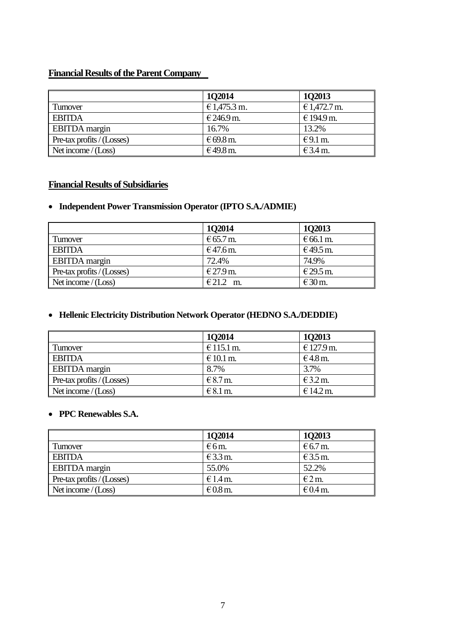## **Financial Results of the Parent Company**

|                            | 102014       | <b>1Q2013</b> |
|----------------------------|--------------|---------------|
| Turnover                   | € 1,475.3 m. | € 1,472.7 m.  |
| <b>EBITDA</b>              | € 246.9 m.   | €194.9 m.     |
| <b>EBITDA</b> margin       | 16.7%        | 13.2%         |
| Pre-tax profits / (Losses) | € 69.8 m.    | $E$ 9.1 m.    |
| Net income $/(Loss)$       | €49.8 m.     | $€3.4$ m.     |

## **Financial Results of Subsidiaries**

## **Independent Power Transmission Operator (IPTO S.A./ADMIE)**

|                            | 102014    | 102013             |
|----------------------------|-----------|--------------------|
| Turnover                   | € 65.7 m. | $\epsilon$ 66.1 m. |
| <b>EBITDA</b>              | €47.6 m.  | €49.5 m.           |
| <b>EBITDA</b> margin       | 72.4%     | 74.9%              |
| Pre-tax profits / (Losses) | € 27.9 m. | € 29.5 m.          |
| Net income $/(Loss)$       | €21.2 m.  | $€30$ m.           |

## **Hellenic Electricity Distribution Network Operator (HEDNO S.A./DEDDIE)**

|                                           | 102014     | 102013     |
|-------------------------------------------|------------|------------|
| Turnover                                  | € 115.1 m. | € 127.9 m. |
| <b>EBITDA</b>                             | $€10.1$ m. | $€4.8$ m.  |
| <b>EBITDA</b> margin                      | 8.7%       | 3.7%       |
| $\blacksquare$ Pre-tax profits / (Losses) | $€8.7m$ .  | $E$ 3.2 m. |
| Net income $/(Loss)$                      | $E$ 8.1 m. | € 14.2 m.  |

## **PPC Renewables S.A.**

|                            | 1Q2014         | 102013    |
|----------------------------|----------------|-----------|
| Turnover                   | $\epsilon$ 6m. | $€6.7$ m. |
| <b>EBITDA</b>              | $E$ 3.3 m.     | $€3.5$ m. |
| <b>EBITDA</b> margin       | 55.0%          | 52.2%     |
| Pre-tax profits / (Losses) | $€1.4$ m.      | E2m       |
| Net income $/(Loss)$       | $€0.8$ m.      | $€0.4$ m. |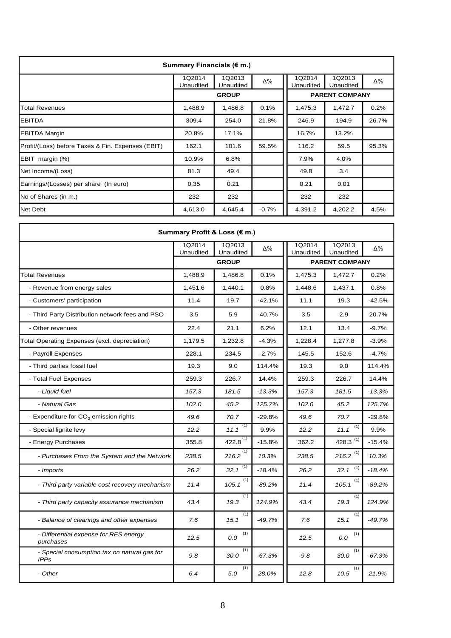| Summary Financials (€ m.)                         |                     |                     |         |                     |                       |       |  |  |  |
|---------------------------------------------------|---------------------|---------------------|---------|---------------------|-----------------------|-------|--|--|--|
|                                                   | 1Q2014<br>Unaudited | 1Q2013<br>Unaudited | Δ%      | 1Q2014<br>Unaudited | 1Q2013<br>Unaudited   | Δ%    |  |  |  |
|                                                   |                     | <b>GROUP</b>        |         |                     | <b>PARENT COMPANY</b> |       |  |  |  |
| <b>Total Revenues</b>                             | 1,488.9             | 1,486.8             | 0.1%    | 1,475.3             | 1,472.7               | 0.2%  |  |  |  |
| <b>EBITDA</b>                                     | 309.4               | 254.0               | 21.8%   | 246.9               | 194.9                 | 26.7% |  |  |  |
| <b>EBITDA Margin</b>                              | 20.8%               | 17.1%               |         | 16.7%               | 13.2%                 |       |  |  |  |
| Profit/(Loss) before Taxes & Fin. Expenses (EBIT) | 162.1               | 101.6               | 59.5%   | 116.2               | 59.5                  | 95.3% |  |  |  |
| EBIT margin (%)                                   | 10.9%               | 6.8%                |         | 7.9%                | 4.0%                  |       |  |  |  |
| Net Income/(Loss)                                 | 81.3                | 49.4                |         | 49.8                | 3.4                   |       |  |  |  |
| Earnings/(Losses) per share (In euro)             | 0.35                | 0.21                |         | 0.21                | 0.01                  |       |  |  |  |
| No of Shares (in m.)                              | 232                 | 232                 |         | 232                 | 232                   |       |  |  |  |
| <b>Net Debt</b>                                   | 4,613.0             | 4,645.4             | $-0.7%$ | 4,391.2             | 4,202.2               | 4.5%  |  |  |  |

| Summary Profit & Loss (€ m.)                                |                     |                          |          |                     |                          |          |  |  |
|-------------------------------------------------------------|---------------------|--------------------------|----------|---------------------|--------------------------|----------|--|--|
|                                                             | 1Q2014<br>Unaudited | 1Q2013<br>Unaudited      | Δ%       | 1Q2014<br>Unaudited | 1Q2013<br>Unaudited      | Δ%       |  |  |
|                                                             |                     | <b>GROUP</b>             |          |                     | <b>PARENT COMPANY</b>    |          |  |  |
| <b>Total Revenues</b>                                       | 1,488.9             | 1,486.8                  | 0.1%     | 1,475.3             | 1,472.7                  | 0.2%     |  |  |
| - Revenue from energy sales                                 | 1,451.6             | 1,440.1                  | 0.8%     | 1,448.6             | 1,437.1                  | 0.8%     |  |  |
| - Customers' participation                                  | 11.4                | 19.7                     | $-42.1%$ | 11.1                | 19.3                     | -42.5%   |  |  |
| - Third Party Distribution network fees and PSO             | 3.5                 | 5.9                      | $-40.7%$ | 3.5                 | 2.9                      | 20.7%    |  |  |
| - Other revenues                                            | 22.4                | 21.1                     | 6.2%     | 12.1                | 13.4                     | $-9.7%$  |  |  |
| Total Operating Expenses (excl. depreciation)               | 1,179.5             | 1,232.8                  | $-4.3%$  | 1,228.4             | 1,277.8                  | $-3.9%$  |  |  |
| - Payroll Expenses                                          | 228.1               | 234.5                    | $-2.7%$  | 145.5               | 152.6                    | $-4.7%$  |  |  |
| - Third parties fossil fuel                                 | 19.3                | 9.0                      | 114.4%   | 19.3                | 9.0                      | 114.4%   |  |  |
| - Total Fuel Expenses                                       | 259.3               | 226.7                    | 14.4%    | 259.3               | 226.7                    | 14.4%    |  |  |
| - Liquid fuel                                               | 157.3               | 181.5                    | $-13.3%$ | 157.3               | 181.5                    | $-13.3%$ |  |  |
| - Natural Gas                                               | 102.0               | 45.2                     | 125.7%   | 102.0               | 45.2                     | 125.7%   |  |  |
| - Expenditure for CO <sub>2</sub> emission rights           | 49.6                | 70.7                     | $-29.8%$ | 49.6                | 70.7                     | $-29.8%$ |  |  |
| - Special lignite levy                                      | 12.2                | (1)<br>11.1              | 9.9%     | 12.2                | $\left(1\right)$<br>11.1 | 9.9%     |  |  |
| - Energy Purchases                                          | 355.8               | $422.8^{\overline{(1)}}$ | $-15.8%$ | 362.2               | 428.3 $(1)$              | $-15.4%$ |  |  |
| - Purchases From the System and the Network                 | 238.5               | (1)<br>216.2             | 10.3%    | 238.5               | 216.2 $(1)$              | 10.3%    |  |  |
| - Imports                                                   | 26.2                | 32.1 $(\overline{1})$    | $-18.4%$ | 26.2                | $\left(1\right)$<br>32.1 | $-18.4%$ |  |  |
| - Third party variable cost recovery mechanism              | 11.4                | (1)<br>105.1             | $-89.2%$ | 11.4                | (1)<br>105.1             | $-89.2%$ |  |  |
| - Third party capacity assurance mechanism                  | 43.4                | (1)<br>19.3              | 124.9%   | 43.4                | (1)<br>19.3              | 124.9%   |  |  |
| - Balance of clearings and other expenses                   | 7.6                 | (1)<br>15.1              | $-49.7%$ | 7.6                 | (1)<br>15.1              | $-49.7%$ |  |  |
| - Differential expense for RES energy<br>purchases          | 12.5                | (1)<br>$0.0\,$           |          | 12.5                | (1)<br>$0.0\,$           |          |  |  |
| - Special consumption tax on natural gas for<br><b>IPPs</b> | 9.8                 | (1)<br>30.0              | $-67.3%$ | 9.8                 | (1)<br>30.0              | $-67.3%$ |  |  |
| - Other                                                     | 6.4                 | (1)<br>5.0               | 28.0%    | 12.8                | (1)<br>10.5              | 21.9%    |  |  |